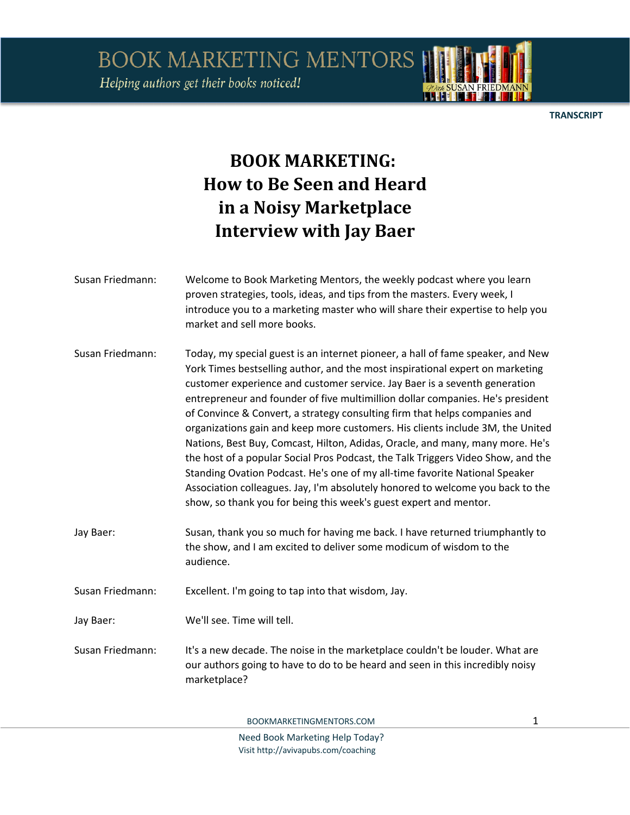Helping authors get their books noticed!

**TRANSCRIPT** 

## **BOOK MARKETING: How to Be Seen and Heard in a Noisy Marketplace Interview with Jay Baer**

Susan Friedmann: Welcome to Book Marketing Mentors, the weekly podcast where you learn proven strategies, tools, ideas, and tips from the masters. Every week, I introduce you to a marketing master who will share their expertise to help you market and sell more books. Susan Friedmann: Today, my special guest is an internet pioneer, a hall of fame speaker, and New York Times bestselling author, and the most inspirational expert on marketing customer experience and customer service. Jay Baer is a seventh generation entrepreneur and founder of five multimillion dollar companies. He's president of Convince & Convert, a strategy consulting firm that helps companies and organizations gain and keep more customers. His clients include 3M, the United Nations, Best Buy, Comcast, Hilton, Adidas, Oracle, and many, many more. He's the host of a popular Social Pros Podcast, the Talk Triggers Video Show, and the Standing Ovation Podcast. He's one of my all-time favorite National Speaker Association colleagues. Jay, I'm absolutely honored to welcome you back to the show, so thank you for being this week's guest expert and mentor. Jay Baer: Susan, thank you so much for having me back. I have returned triumphantly to the show, and I am excited to deliver some modicum of wisdom to the audience. Susan Friedmann: Excellent. I'm going to tap into that wisdom, Jay. Jay Baer: We'll see. Time will tell. Susan Friedmann: It's a new decade. The noise in the marketplace couldn't be louder. What are our authors going to have to do to be heard and seen in this incredibly noisy marketplace?

BOOKMARKETINGMENTORS.COM 1

Need Book Marketing Help Today? Visit http://avivapubs.com/coaching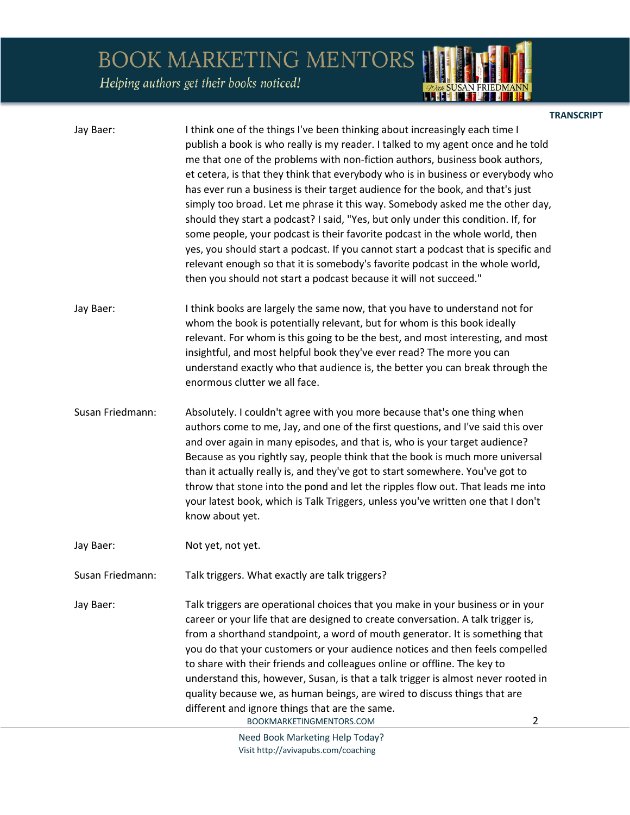*ADute* SUSAN FRIEDMANN

Helping authors get their books noticed!

|                  |                                                                                                                                                                                                                                                                                                                                                                                                                                                                                                                                                                                                                                                                                                                                                                                                                                                                                                                          | <b>TRANSCRIPT</b> |
|------------------|--------------------------------------------------------------------------------------------------------------------------------------------------------------------------------------------------------------------------------------------------------------------------------------------------------------------------------------------------------------------------------------------------------------------------------------------------------------------------------------------------------------------------------------------------------------------------------------------------------------------------------------------------------------------------------------------------------------------------------------------------------------------------------------------------------------------------------------------------------------------------------------------------------------------------|-------------------|
| Jay Baer:        | I think one of the things I've been thinking about increasingly each time I<br>publish a book is who really is my reader. I talked to my agent once and he told<br>me that one of the problems with non-fiction authors, business book authors,<br>et cetera, is that they think that everybody who is in business or everybody who<br>has ever run a business is their target audience for the book, and that's just<br>simply too broad. Let me phrase it this way. Somebody asked me the other day,<br>should they start a podcast? I said, "Yes, but only under this condition. If, for<br>some people, your podcast is their favorite podcast in the whole world, then<br>yes, you should start a podcast. If you cannot start a podcast that is specific and<br>relevant enough so that it is somebody's favorite podcast in the whole world,<br>then you should not start a podcast because it will not succeed." |                   |
| Jay Baer:        | I think books are largely the same now, that you have to understand not for<br>whom the book is potentially relevant, but for whom is this book ideally<br>relevant. For whom is this going to be the best, and most interesting, and most<br>insightful, and most helpful book they've ever read? The more you can<br>understand exactly who that audience is, the better you can break through the<br>enormous clutter we all face.                                                                                                                                                                                                                                                                                                                                                                                                                                                                                    |                   |
| Susan Friedmann: | Absolutely. I couldn't agree with you more because that's one thing when<br>authors come to me, Jay, and one of the first questions, and I've said this over<br>and over again in many episodes, and that is, who is your target audience?<br>Because as you rightly say, people think that the book is much more universal<br>than it actually really is, and they've got to start somewhere. You've got to<br>throw that stone into the pond and let the ripples flow out. That leads me into<br>your latest book, which is Talk Triggers, unless you've written one that I don't<br>know about yet.                                                                                                                                                                                                                                                                                                                   |                   |
| Jay Baer:        | Not yet, not yet.                                                                                                                                                                                                                                                                                                                                                                                                                                                                                                                                                                                                                                                                                                                                                                                                                                                                                                        |                   |
| Susan Friedmann: | Talk triggers. What exactly are talk triggers?                                                                                                                                                                                                                                                                                                                                                                                                                                                                                                                                                                                                                                                                                                                                                                                                                                                                           |                   |
| Jay Baer:        | Talk triggers are operational choices that you make in your business or in your<br>career or your life that are designed to create conversation. A talk trigger is,<br>from a shorthand standpoint, a word of mouth generator. It is something that<br>you do that your customers or your audience notices and then feels compelled<br>to share with their friends and colleagues online or offline. The key to<br>understand this, however, Susan, is that a talk trigger is almost never rooted in<br>quality because we, as human beings, are wired to discuss things that are<br>different and ignore things that are the same.<br>$\overline{2}$<br>BOOKMARKETINGMENTORS.COM                                                                                                                                                                                                                                        |                   |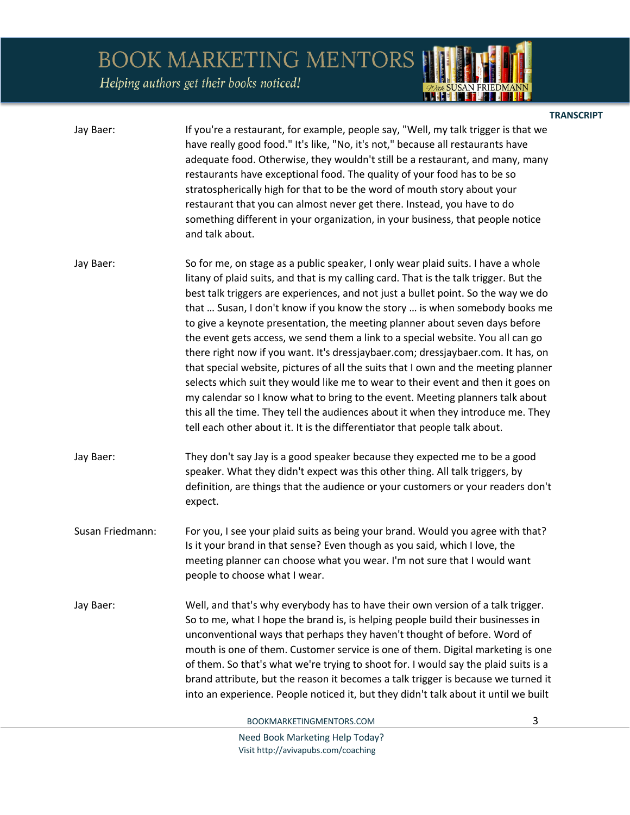Helping authors get their books noticed!

|                  |                                                                                                                                                                                                                                                                                                                                                                                                                                                                                                                                                                                                                                                                                                                                                                                                                                                                                                                                                                                                                                 | <b>TRANSCRIPT</b> |
|------------------|---------------------------------------------------------------------------------------------------------------------------------------------------------------------------------------------------------------------------------------------------------------------------------------------------------------------------------------------------------------------------------------------------------------------------------------------------------------------------------------------------------------------------------------------------------------------------------------------------------------------------------------------------------------------------------------------------------------------------------------------------------------------------------------------------------------------------------------------------------------------------------------------------------------------------------------------------------------------------------------------------------------------------------|-------------------|
| Jay Baer:        | If you're a restaurant, for example, people say, "Well, my talk trigger is that we<br>have really good food." It's like, "No, it's not," because all restaurants have<br>adequate food. Otherwise, they wouldn't still be a restaurant, and many, many<br>restaurants have exceptional food. The quality of your food has to be so<br>stratospherically high for that to be the word of mouth story about your<br>restaurant that you can almost never get there. Instead, you have to do<br>something different in your organization, in your business, that people notice<br>and talk about.                                                                                                                                                                                                                                                                                                                                                                                                                                  |                   |
| Jay Baer:        | So for me, on stage as a public speaker, I only wear plaid suits. I have a whole<br>litany of plaid suits, and that is my calling card. That is the talk trigger. But the<br>best talk triggers are experiences, and not just a bullet point. So the way we do<br>that  Susan, I don't know if you know the story  is when somebody books me<br>to give a keynote presentation, the meeting planner about seven days before<br>the event gets access, we send them a link to a special website. You all can go<br>there right now if you want. It's dressjaybaer.com; dressjaybaer.com. It has, on<br>that special website, pictures of all the suits that I own and the meeting planner<br>selects which suit they would like me to wear to their event and then it goes on<br>my calendar so I know what to bring to the event. Meeting planners talk about<br>this all the time. They tell the audiences about it when they introduce me. They<br>tell each other about it. It is the differentiator that people talk about. |                   |
| Jay Baer:        | They don't say Jay is a good speaker because they expected me to be a good<br>speaker. What they didn't expect was this other thing. All talk triggers, by<br>definition, are things that the audience or your customers or your readers don't<br>expect.                                                                                                                                                                                                                                                                                                                                                                                                                                                                                                                                                                                                                                                                                                                                                                       |                   |
| Susan Friedmann: | For you, I see your plaid suits as being your brand. Would you agree with that?<br>Is it your brand in that sense? Even though as you said, which I love, the<br>meeting planner can choose what you wear. I'm not sure that I would want<br>people to choose what I wear.                                                                                                                                                                                                                                                                                                                                                                                                                                                                                                                                                                                                                                                                                                                                                      |                   |
| Jay Baer:        | Well, and that's why everybody has to have their own version of a talk trigger.<br>So to me, what I hope the brand is, is helping people build their businesses in<br>unconventional ways that perhaps they haven't thought of before. Word of<br>mouth is one of them. Customer service is one of them. Digital marketing is one<br>of them. So that's what we're trying to shoot for. I would say the plaid suits is a<br>brand attribute, but the reason it becomes a talk trigger is because we turned it<br>into an experience. People noticed it, but they didn't talk about it until we built                                                                                                                                                                                                                                                                                                                                                                                                                            |                   |

BOOKMARKETINGMENTORS.COM 3

*Quel* SUSAN FRIEDMANN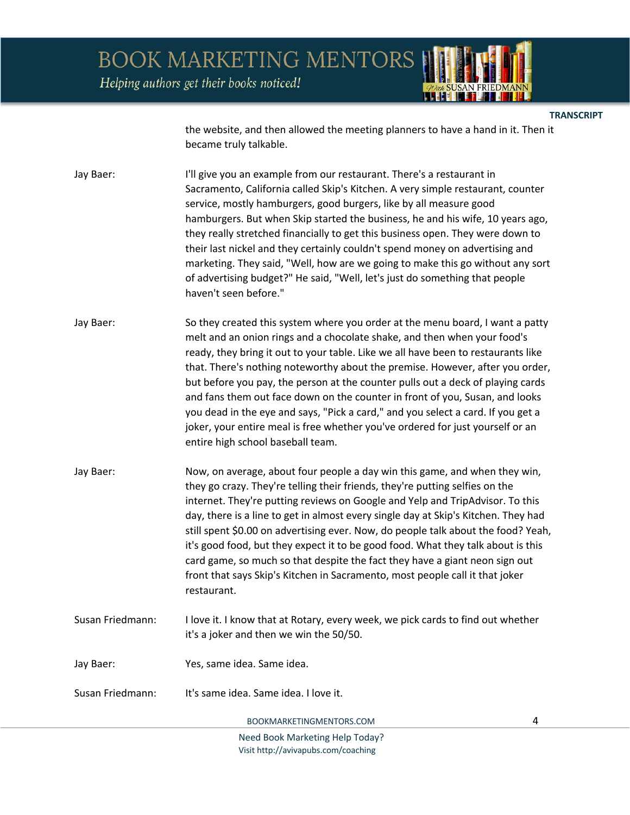Helping authors get their books noticed!

**TRANSCRIPT** 

the website, and then allowed the meeting planners to have a hand in it. Then it became truly talkable.

Jay Baer: I'll give you an example from our restaurant. There's a restaurant in Sacramento, California called Skip's Kitchen. A very simple restaurant, counter service, mostly hamburgers, good burgers, like by all measure good hamburgers. But when Skip started the business, he and his wife, 10 years ago, they really stretched financially to get this business open. They were down to their last nickel and they certainly couldn't spend money on advertising and marketing. They said, "Well, how are we going to make this go without any sort of advertising budget?" He said, "Well, let's just do something that people haven't seen before."

Jay Baer: So they created this system where you order at the menu board, I want a patty melt and an onion rings and a chocolate shake, and then when your food's ready, they bring it out to your table. Like we all have been to restaurants like that. There's nothing noteworthy about the premise. However, after you order, but before you pay, the person at the counter pulls out a deck of playing cards and fans them out face down on the counter in front of you, Susan, and looks you dead in the eye and says, "Pick a card," and you select a card. If you get a joker, your entire meal is free whether you've ordered for just yourself or an entire high school baseball team.

- Jay Baer: Now, on average, about four people a day win this game, and when they win, they go crazy. They're telling their friends, they're putting selfies on the internet. They're putting reviews on Google and Yelp and TripAdvisor. To this day, there is a line to get in almost every single day at Skip's Kitchen. They had still spent \$0.00 on advertising ever. Now, do people talk about the food? Yeah, it's good food, but they expect it to be good food. What they talk about is this card game, so much so that despite the fact they have a giant neon sign out front that says Skip's Kitchen in Sacramento, most people call it that joker restaurant.
- Susan Friedmann: I love it. I know that at Rotary, every week, we pick cards to find out whether it's a joker and then we win the 50/50.
- Jay Baer: Yes, same idea. Same idea.
- Susan Friedmann: It's same idea. Same idea. I love it.

BOOKMARKETINGMENTORS.COM 4

Need Book Marketing Help Today? Visit http://avivapubs.com/coaching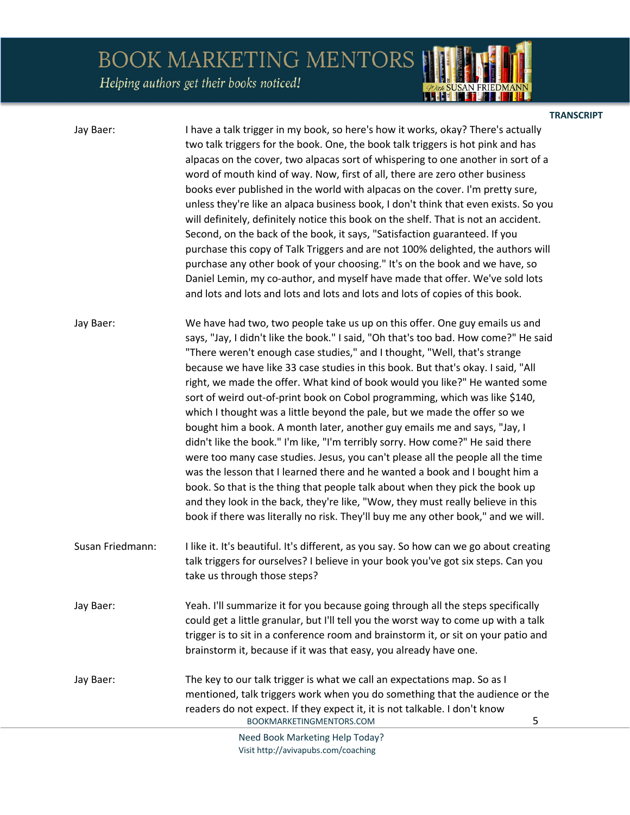Helping authors get their books noticed!

| Jay Baer:        | I have a talk trigger in my book, so here's how it works, okay? There's actually<br>two talk triggers for the book. One, the book talk triggers is hot pink and has<br>alpacas on the cover, two alpacas sort of whispering to one another in sort of a<br>word of mouth kind of way. Now, first of all, there are zero other business<br>books ever published in the world with alpacas on the cover. I'm pretty sure,<br>unless they're like an alpaca business book, I don't think that even exists. So you<br>will definitely, definitely notice this book on the shelf. That is not an accident.<br>Second, on the back of the book, it says, "Satisfaction guaranteed. If you<br>purchase this copy of Talk Triggers and are not 100% delighted, the authors will<br>purchase any other book of your choosing." It's on the book and we have, so<br>Daniel Lemin, my co-author, and myself have made that offer. We've sold lots<br>and lots and lots and lots and lots and lots and lots of copies of this book.                                                                                                                                                 |
|------------------|-------------------------------------------------------------------------------------------------------------------------------------------------------------------------------------------------------------------------------------------------------------------------------------------------------------------------------------------------------------------------------------------------------------------------------------------------------------------------------------------------------------------------------------------------------------------------------------------------------------------------------------------------------------------------------------------------------------------------------------------------------------------------------------------------------------------------------------------------------------------------------------------------------------------------------------------------------------------------------------------------------------------------------------------------------------------------------------------------------------------------------------------------------------------------|
| Jay Baer:        | We have had two, two people take us up on this offer. One guy emails us and<br>says, "Jay, I didn't like the book." I said, "Oh that's too bad. How come?" He said<br>"There weren't enough case studies," and I thought, "Well, that's strange<br>because we have like 33 case studies in this book. But that's okay. I said, "All<br>right, we made the offer. What kind of book would you like?" He wanted some<br>sort of weird out-of-print book on Cobol programming, which was like \$140,<br>which I thought was a little beyond the pale, but we made the offer so we<br>bought him a book. A month later, another guy emails me and says, "Jay, I<br>didn't like the book." I'm like, "I'm terribly sorry. How come?" He said there<br>were too many case studies. Jesus, you can't please all the people all the time<br>was the lesson that I learned there and he wanted a book and I bought him a<br>book. So that is the thing that people talk about when they pick the book up<br>and they look in the back, they're like, "Wow, they must really believe in this<br>book if there was literally no risk. They'll buy me any other book," and we will. |
| Susan Friedmann: | I like it. It's beautiful. It's different, as you say. So how can we go about creating<br>talk triggers for ourselves? I believe in your book you've got six steps. Can you<br>take us through those steps?                                                                                                                                                                                                                                                                                                                                                                                                                                                                                                                                                                                                                                                                                                                                                                                                                                                                                                                                                             |
| Jay Baer:        | Yeah. I'll summarize it for you because going through all the steps specifically<br>could get a little granular, but I'll tell you the worst way to come up with a talk<br>trigger is to sit in a conference room and brainstorm it, or sit on your patio and<br>brainstorm it, because if it was that easy, you already have one.                                                                                                                                                                                                                                                                                                                                                                                                                                                                                                                                                                                                                                                                                                                                                                                                                                      |
| Jay Baer:        | The key to our talk trigger is what we call an expectations map. So as I<br>mentioned, talk triggers work when you do something that the audience or the<br>readers do not expect. If they expect it, it is not talkable. I don't know<br>5<br>BOOKMARKETINGMENTORS.COM                                                                                                                                                                                                                                                                                                                                                                                                                                                                                                                                                                                                                                                                                                                                                                                                                                                                                                 |
|                  |                                                                                                                                                                                                                                                                                                                                                                                                                                                                                                                                                                                                                                                                                                                                                                                                                                                                                                                                                                                                                                                                                                                                                                         |

**TRANSCRIPT** 

*ADute* SUSAN FRIEDMANN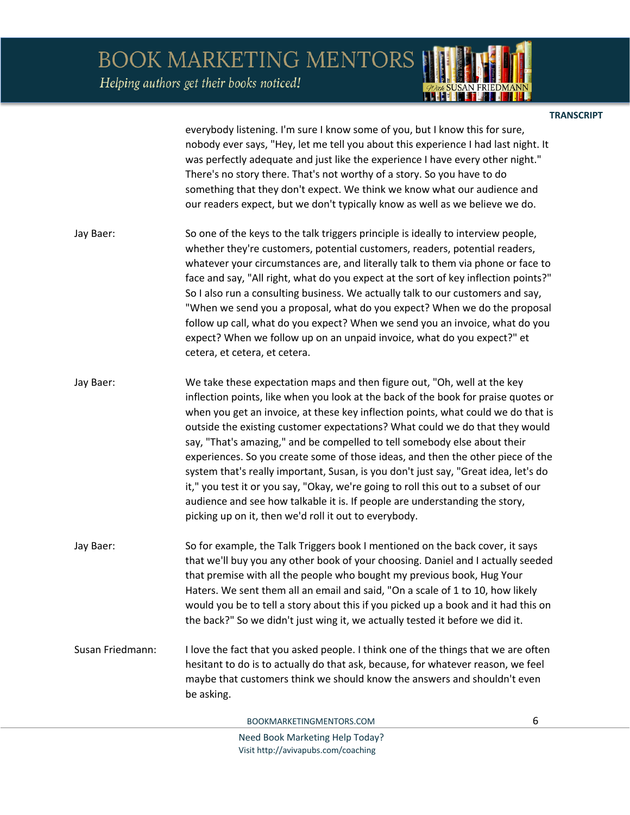Helping authors get their books noticed!



**TRANSCRIPT** 

everybody listening. I'm sure I know some of you, but I know this for sure, nobody ever says, "Hey, let me tell you about this experience I had last night. It was perfectly adequate and just like the experience I have every other night." There's no story there. That's not worthy of a story. So you have to do something that they don't expect. We think we know what our audience and our readers expect, but we don't typically know as well as we believe we do.

- Jay Baer: So one of the keys to the talk triggers principle is ideally to interview people, whether they're customers, potential customers, readers, potential readers, whatever your circumstances are, and literally talk to them via phone or face to face and say, "All right, what do you expect at the sort of key inflection points?" So I also run a consulting business. We actually talk to our customers and say, "When we send you a proposal, what do you expect? When we do the proposal follow up call, what do you expect? When we send you an invoice, what do you expect? When we follow up on an unpaid invoice, what do you expect?" et cetera, et cetera, et cetera.
- Jay Baer: We take these expectation maps and then figure out, "Oh, well at the key inflection points, like when you look at the back of the book for praise quotes or when you get an invoice, at these key inflection points, what could we do that is outside the existing customer expectations? What could we do that they would say, "That's amazing," and be compelled to tell somebody else about their experiences. So you create some of those ideas, and then the other piece of the system that's really important, Susan, is you don't just say, "Great idea, let's do it," you test it or you say, "Okay, we're going to roll this out to a subset of our audience and see how talkable it is. If people are understanding the story, picking up on it, then we'd roll it out to everybody.
- Jay Baer: So for example, the Talk Triggers book I mentioned on the back cover, it says that we'll buy you any other book of your choosing. Daniel and I actually seeded that premise with all the people who bought my previous book, Hug Your Haters. We sent them all an email and said, "On a scale of 1 to 10, how likely would you be to tell a story about this if you picked up a book and it had this on the back?" So we didn't just wing it, we actually tested it before we did it.
- Susan Friedmann: I love the fact that you asked people. I think one of the things that we are often hesitant to do is to actually do that ask, because, for whatever reason, we feel maybe that customers think we should know the answers and shouldn't even be asking.

BOOKMARKETINGMENTORS.COM 6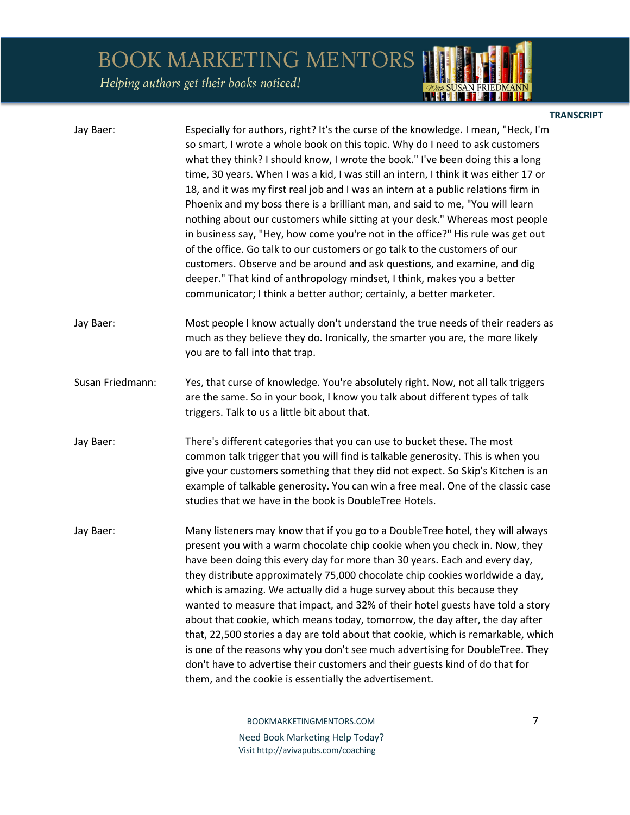Helping authors get their books noticed!

|                                                                                                                                                                                                                                                                                                                                                                                                                                                                                                                                                                                                                                                                                                                                                                                                                                                                                                                                                                                                     | <b>TRANSCRIPT</b> |
|-----------------------------------------------------------------------------------------------------------------------------------------------------------------------------------------------------------------------------------------------------------------------------------------------------------------------------------------------------------------------------------------------------------------------------------------------------------------------------------------------------------------------------------------------------------------------------------------------------------------------------------------------------------------------------------------------------------------------------------------------------------------------------------------------------------------------------------------------------------------------------------------------------------------------------------------------------------------------------------------------------|-------------------|
| Especially for authors, right? It's the curse of the knowledge. I mean, "Heck, I'm<br>so smart, I wrote a whole book on this topic. Why do I need to ask customers<br>what they think? I should know, I wrote the book." I've been doing this a long<br>time, 30 years. When I was a kid, I was still an intern, I think it was either 17 or<br>18, and it was my first real job and I was an intern at a public relations firm in<br>Phoenix and my boss there is a brilliant man, and said to me, "You will learn<br>nothing about our customers while sitting at your desk." Whereas most people<br>in business say, "Hey, how come you're not in the office?" His rule was get out<br>of the office. Go talk to our customers or go talk to the customers of our<br>customers. Observe and be around and ask questions, and examine, and dig<br>deeper." That kind of anthropology mindset, I think, makes you a better<br>communicator; I think a better author; certainly, a better marketer. |                   |
| Most people I know actually don't understand the true needs of their readers as<br>much as they believe they do. Ironically, the smarter you are, the more likely<br>you are to fall into that trap.                                                                                                                                                                                                                                                                                                                                                                                                                                                                                                                                                                                                                                                                                                                                                                                                |                   |
| Yes, that curse of knowledge. You're absolutely right. Now, not all talk triggers<br>are the same. So in your book, I know you talk about different types of talk<br>triggers. Talk to us a little bit about that.                                                                                                                                                                                                                                                                                                                                                                                                                                                                                                                                                                                                                                                                                                                                                                                  |                   |
| There's different categories that you can use to bucket these. The most<br>common talk trigger that you will find is talkable generosity. This is when you<br>give your customers something that they did not expect. So Skip's Kitchen is an<br>example of talkable generosity. You can win a free meal. One of the classic case<br>studies that we have in the book is DoubleTree Hotels.                                                                                                                                                                                                                                                                                                                                                                                                                                                                                                                                                                                                         |                   |
| Many listeners may know that if you go to a DoubleTree hotel, they will always<br>present you with a warm chocolate chip cookie when you check in. Now, they<br>have been doing this every day for more than 30 years. Each and every day,<br>they distribute approximately 75,000 chocolate chip cookies worldwide a day,<br>which is amazing. We actually did a huge survey about this because they<br>wanted to measure that impact, and 32% of their hotel guests have told a story<br>about that cookie, which means today, tomorrow, the day after, the day after<br>that, 22,500 stories a day are told about that cookie, which is remarkable, which<br>is one of the reasons why you don't see much advertising for DoubleTree. They<br>don't have to advertise their customers and their guests kind of do that for<br>them, and the cookie is essentially the advertisement.                                                                                                             |                   |
|                                                                                                                                                                                                                                                                                                                                                                                                                                                                                                                                                                                                                                                                                                                                                                                                                                                                                                                                                                                                     |                   |

BOOKMARKETINGMENTORS.COM 7

*POur SUSAN FRIEDMANN*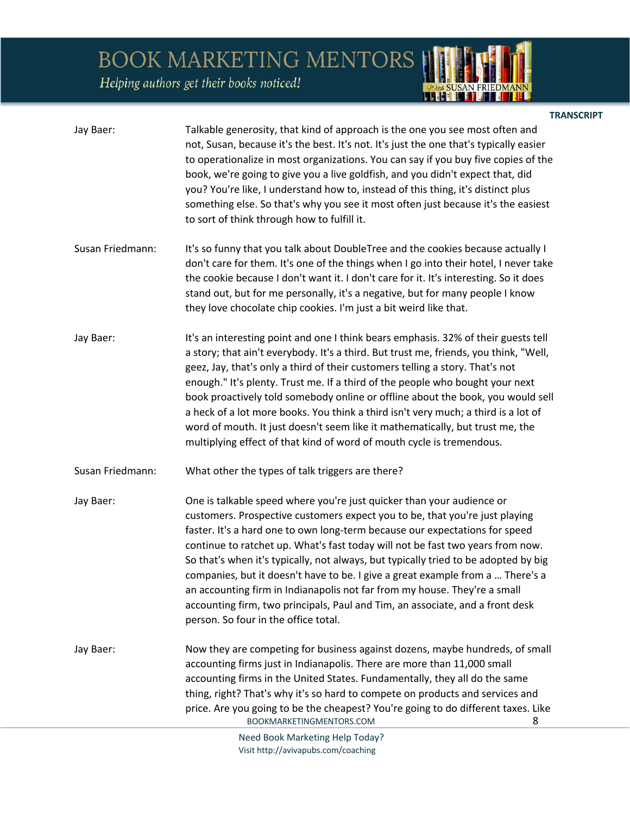Helping authors get their books noticed!

| Jay Baer:        | Talkable generosity, that kind of approach is the one you see most often and<br>not, Susan, because it's the best. It's not. It's just the one that's typically easier<br>to operationalize in most organizations. You can say if you buy five copies of the<br>book, we're going to give you a live goldfish, and you didn't expect that, did<br>you? You're like, I understand how to, instead of this thing, it's distinct plus<br>something else. So that's why you see it most often just because it's the easiest<br>to sort of think through how to fulfill it.                                                                                                                               |
|------------------|------------------------------------------------------------------------------------------------------------------------------------------------------------------------------------------------------------------------------------------------------------------------------------------------------------------------------------------------------------------------------------------------------------------------------------------------------------------------------------------------------------------------------------------------------------------------------------------------------------------------------------------------------------------------------------------------------|
| Susan Friedmann: | It's so funny that you talk about DoubleTree and the cookies because actually I<br>don't care for them. It's one of the things when I go into their hotel, I never take<br>the cookie because I don't want it. I don't care for it. It's interesting. So it does<br>stand out, but for me personally, it's a negative, but for many people I know<br>they love chocolate chip cookies. I'm just a bit weird like that.                                                                                                                                                                                                                                                                               |
| Jay Baer:        | It's an interesting point and one I think bears emphasis. 32% of their guests tell<br>a story; that ain't everybody. It's a third. But trust me, friends, you think, "Well,<br>geez, Jay, that's only a third of their customers telling a story. That's not<br>enough." It's plenty. Trust me. If a third of the people who bought your next<br>book proactively told somebody online or offline about the book, you would sell<br>a heck of a lot more books. You think a third isn't very much; a third is a lot of<br>word of mouth. It just doesn't seem like it mathematically, but trust me, the<br>multiplying effect of that kind of word of mouth cycle is tremendous.                     |
| Susan Friedmann: | What other the types of talk triggers are there?                                                                                                                                                                                                                                                                                                                                                                                                                                                                                                                                                                                                                                                     |
| Jay Baer:        | One is talkable speed where you're just quicker than your audience or<br>customers. Prospective customers expect you to be, that you're just playing<br>faster. It's a hard one to own long-term because our expectations for speed<br>continue to ratchet up. What's fast today will not be fast two years from now.<br>So that's when it's typically, not always, but typically tried to be adopted by big<br>companies, but it doesn't have to be. I give a great example from a  There's a<br>an accounting firm in Indianapolis not far from my house. They're a small<br>accounting firm, two principals, Paul and Tim, an associate, and a front desk<br>person. So four in the office total. |
| Jay Baer:        | Now they are competing for business against dozens, maybe hundreds, of small<br>accounting firms just in Indianapolis. There are more than 11,000 small<br>accounting firms in the United States. Fundamentally, they all do the same<br>thing, right? That's why it's so hard to compete on products and services and<br>price. Are you going to be the cheapest? You're going to do different taxes. Like<br>BOOKMARKETINGMENTORS.COM<br>8                                                                                                                                                                                                                                                         |

**TRANSCRIPT** 

*ADute* SUSAN FRIEDMANN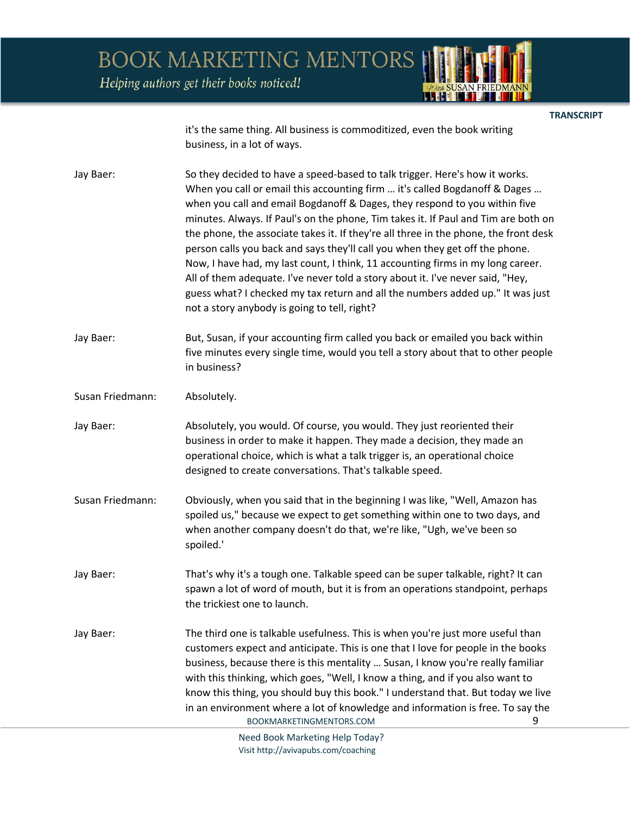Helping authors get their books noticed!

**TRANSCRIPT** 

it's the same thing. All business is commoditized, even the book writing business, in a lot of ways.

Jay Baer: So they decided to have a speed-based to talk trigger. Here's how it works. When you call or email this accounting firm … it's called Bogdanoff & Dages … when you call and email Bogdanoff & Dages, they respond to you within five minutes. Always. If Paul's on the phone, Tim takes it. If Paul and Tim are both on the phone, the associate takes it. If they're all three in the phone, the front desk person calls you back and says they'll call you when they get off the phone. Now, I have had, my last count, I think, 11 accounting firms in my long career. All of them adequate. I've never told a story about it. I've never said, "Hey, guess what? I checked my tax return and all the numbers added up." It was just not a story anybody is going to tell, right?

Jay Baer: But, Susan, if your accounting firm called you back or emailed you back within five minutes every single time, would you tell a story about that to other people in business?

Susan Friedmann: Absolutely.

Jay Baer: Absolutely, you would. Of course, you would. They just reoriented their business in order to make it happen. They made a decision, they made an operational choice, which is what a talk trigger is, an operational choice designed to create conversations. That's talkable speed.

Susan Friedmann: Obviously, when you said that in the beginning I was like, "Well, Amazon has spoiled us," because we expect to get something within one to two days, and when another company doesn't do that, we're like, "Ugh, we've been so spoiled.'

Jay Baer: That's why it's a tough one. Talkable speed can be super talkable, right? It can spawn a lot of word of mouth, but it is from an operations standpoint, perhaps the trickiest one to launch.

BOOKMARKETINGMENTORS.COM 9 Jay Baer: The third one is talkable usefulness. This is when you're just more useful than customers expect and anticipate. This is one that I love for people in the books business, because there is this mentality … Susan, I know you're really familiar with this thinking, which goes, "Well, I know a thing, and if you also want to know this thing, you should buy this book." I understand that. But today we live in an environment where a lot of knowledge and information is free. To say the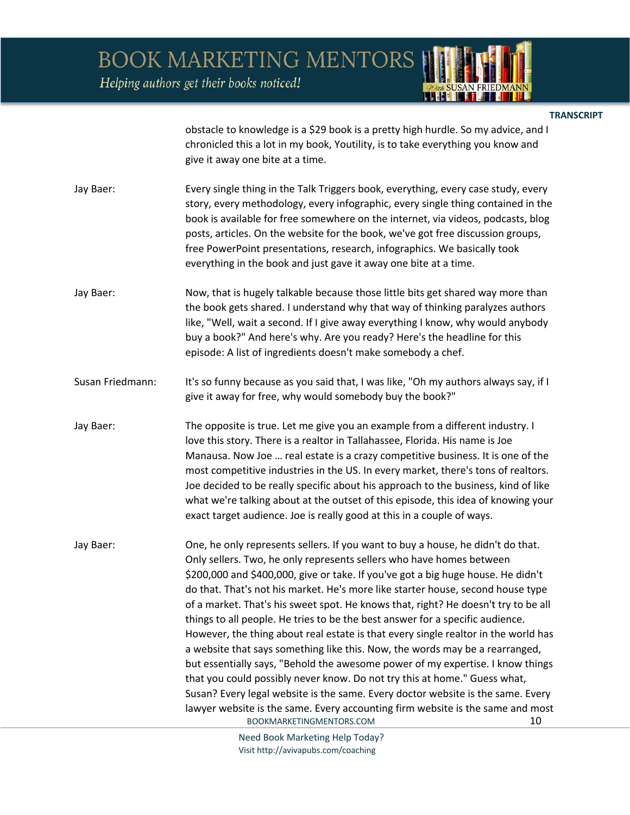Helping authors get their books noticed!



**TRANSCRIPT** 

obstacle to knowledge is a \$29 book is a pretty high hurdle. So my advice, and I chronicled this a lot in my book, Youtility, is to take everything you know and give it away one bite at a time.

| Jay Baer: | Every single thing in the Talk Triggers book, everything, every case study, every |
|-----------|-----------------------------------------------------------------------------------|
|           | story, every methodology, every infographic, every single thing contained in the  |
|           | book is available for free somewhere on the internet, via videos, podcasts, blog  |
|           | posts, articles. On the website for the book, we've got free discussion groups,   |
|           | free PowerPoint presentations, research, infographics. We basically took          |
|           | everything in the book and just gave it away one bite at a time.                  |

- Jay Baer: Now, that is hugely talkable because those little bits get shared way more than the book gets shared. I understand why that way of thinking paralyzes authors like, "Well, wait a second. If I give away everything I know, why would anybody buy a book?" And here's why. Are you ready? Here's the headline for this episode: A list of ingredients doesn't make somebody a chef.
- Susan Friedmann: It's so funny because as you said that, I was like, "Oh my authors always say, if I give it away for free, why would somebody buy the book?"
- Jay Baer: The opposite is true. Let me give you an example from a different industry. I love this story. There is a realtor in Tallahassee, Florida. His name is Joe Manausa. Now Joe … real estate is a crazy competitive business. It is one of the most competitive industries in the US. In every market, there's tons of realtors. Joe decided to be really specific about his approach to the business, kind of like what we're talking about at the outset of this episode, this idea of knowing your exact target audience. Joe is really good at this in a couple of ways.
- BOOKMARKETINGMENTORS.COM 10 Jay Baer: One, he only represents sellers. If you want to buy a house, he didn't do that. Only sellers. Two, he only represents sellers who have homes between \$200,000 and \$400,000, give or take. If you've got a big huge house. He didn't do that. That's not his market. He's more like starter house, second house type of a market. That's his sweet spot. He knows that, right? He doesn't try to be all things to all people. He tries to be the best answer for a specific audience. However, the thing about real estate is that every single realtor in the world has a website that says something like this. Now, the words may be a rearranged, but essentially says, "Behold the awesome power of my expertise. I know things that you could possibly never know. Do not try this at home." Guess what, Susan? Every legal website is the same. Every doctor website is the same. Every lawyer website is the same. Every accounting firm website is the same and most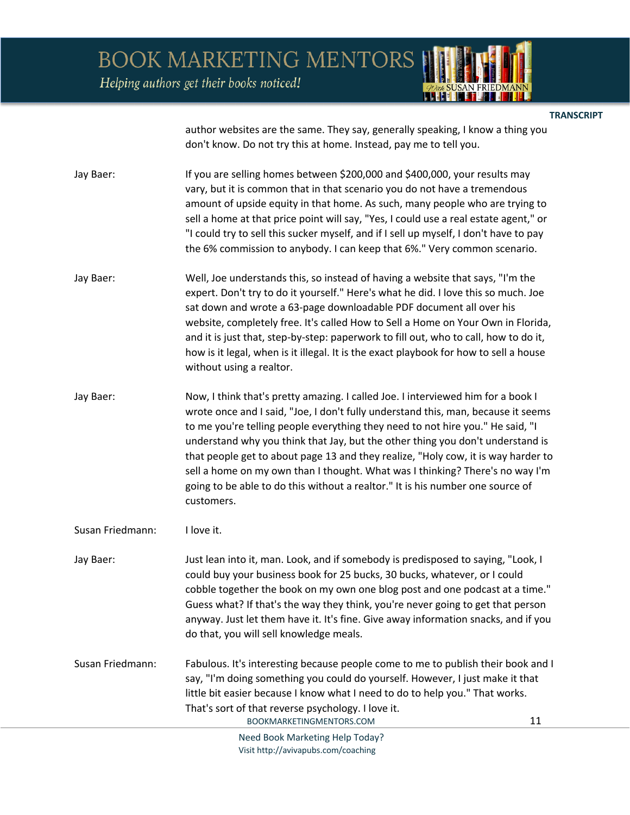Helping authors get their books noticed!

**TRANSCRIPT** 

author websites are the same. They say, generally speaking, I know a thing you don't know. Do not try this at home. Instead, pay me to tell you.

Jay Baer: If you are selling homes between \$200,000 and \$400,000, your results may vary, but it is common that in that scenario you do not have a tremendous amount of upside equity in that home. As such, many people who are trying to sell a home at that price point will say, "Yes, I could use a real estate agent," or "I could try to sell this sucker myself, and if I sell up myself, I don't have to pay the 6% commission to anybody. I can keep that 6%." Very common scenario.

- Jay Baer: Well, Joe understands this, so instead of having a website that says, "I'm the expert. Don't try to do it yourself." Here's what he did. I love this so much. Joe sat down and wrote a 63-page downloadable PDF document all over his website, completely free. It's called How to Sell a Home on Your Own in Florida, and it is just that, step-by-step: paperwork to fill out, who to call, how to do it, how is it legal, when is it illegal. It is the exact playbook for how to sell a house without using a realtor.
- Jay Baer: Now, I think that's pretty amazing. I called Joe. I interviewed him for a book I wrote once and I said, "Joe, I don't fully understand this, man, because it seems to me you're telling people everything they need to not hire you." He said, "I understand why you think that Jay, but the other thing you don't understand is that people get to about page 13 and they realize, "Holy cow, it is way harder to sell a home on my own than I thought. What was I thinking? There's no way I'm going to be able to do this without a realtor." It is his number one source of customers.

Susan Friedmann: I love it.

- Jay Baer: Just lean into it, man. Look, and if somebody is predisposed to saying, "Look, I could buy your business book for 25 bucks, 30 bucks, whatever, or I could cobble together the book on my own one blog post and one podcast at a time." Guess what? If that's the way they think, you're never going to get that person anyway. Just let them have it. It's fine. Give away information snacks, and if you do that, you will sell knowledge meals.
- Susan Friedmann: Fabulous. It's interesting because people come to me to publish their book and I say, "I'm doing something you could do yourself. However, I just make it that little bit easier because I know what I need to do to help you." That works. That's sort of that reverse psychology. I love it.

BOOKMARKETINGMENTORS.COM 11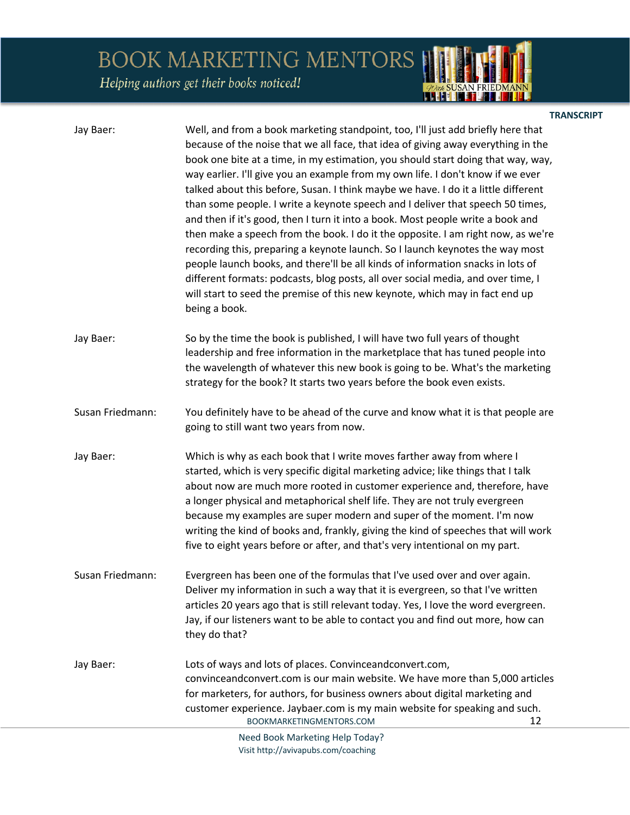Helping authors get their books noticed!

| Jay Baer:        | Well, and from a book marketing standpoint, too, I'll just add briefly here that<br>because of the noise that we all face, that idea of giving away everything in the<br>book one bite at a time, in my estimation, you should start doing that way, way,<br>way earlier. I'll give you an example from my own life. I don't know if we ever<br>talked about this before, Susan. I think maybe we have. I do it a little different<br>than some people. I write a keynote speech and I deliver that speech 50 times,<br>and then if it's good, then I turn it into a book. Most people write a book and<br>then make a speech from the book. I do it the opposite. I am right now, as we're<br>recording this, preparing a keynote launch. So I launch keynotes the way most<br>people launch books, and there'll be all kinds of information snacks in lots of<br>different formats: podcasts, blog posts, all over social media, and over time, I<br>will start to seed the premise of this new keynote, which may in fact end up<br>being a book. |
|------------------|------------------------------------------------------------------------------------------------------------------------------------------------------------------------------------------------------------------------------------------------------------------------------------------------------------------------------------------------------------------------------------------------------------------------------------------------------------------------------------------------------------------------------------------------------------------------------------------------------------------------------------------------------------------------------------------------------------------------------------------------------------------------------------------------------------------------------------------------------------------------------------------------------------------------------------------------------------------------------------------------------------------------------------------------------|
| Jay Baer:        | So by the time the book is published, I will have two full years of thought<br>leadership and free information in the marketplace that has tuned people into<br>the wavelength of whatever this new book is going to be. What's the marketing<br>strategy for the book? It starts two years before the book even exists.                                                                                                                                                                                                                                                                                                                                                                                                                                                                                                                                                                                                                                                                                                                             |
| Susan Friedmann: | You definitely have to be ahead of the curve and know what it is that people are<br>going to still want two years from now.                                                                                                                                                                                                                                                                                                                                                                                                                                                                                                                                                                                                                                                                                                                                                                                                                                                                                                                          |
| Jay Baer:        | Which is why as each book that I write moves farther away from where I<br>started, which is very specific digital marketing advice; like things that I talk<br>about now are much more rooted in customer experience and, therefore, have<br>a longer physical and metaphorical shelf life. They are not truly evergreen<br>because my examples are super modern and super of the moment. I'm now<br>writing the kind of books and, frankly, giving the kind of speeches that will work<br>five to eight years before or after, and that's very intentional on my part.                                                                                                                                                                                                                                                                                                                                                                                                                                                                              |
| Susan Friedmann: | Evergreen has been one of the formulas that I've used over and over again.<br>Deliver my information in such a way that it is evergreen, so that I've written<br>articles 20 years ago that is still relevant today. Yes, I love the word evergreen.<br>Jay, if our listeners want to be able to contact you and find out more, how can<br>they do that?                                                                                                                                                                                                                                                                                                                                                                                                                                                                                                                                                                                                                                                                                             |
| Jay Baer:        | Lots of ways and lots of places. Convinceandconvert.com,<br>convinceandconvert.com is our main website. We have more than 5,000 articles<br>for marketers, for authors, for business owners about digital marketing and<br>customer experience. Jaybaer.com is my main website for speaking and such.<br>BOOKMARKETINGMENTORS.COM<br>12                                                                                                                                                                                                                                                                                                                                                                                                                                                                                                                                                                                                                                                                                                              |
|                  | Need Book Marketing Help Today?                                                                                                                                                                                                                                                                                                                                                                                                                                                                                                                                                                                                                                                                                                                                                                                                                                                                                                                                                                                                                      |

**TRANSCRIPT** 

*ADute* SUSAN FRIEDMANN

Need Book Marketing Help Today? Visit http://avivapubs.com/coaching